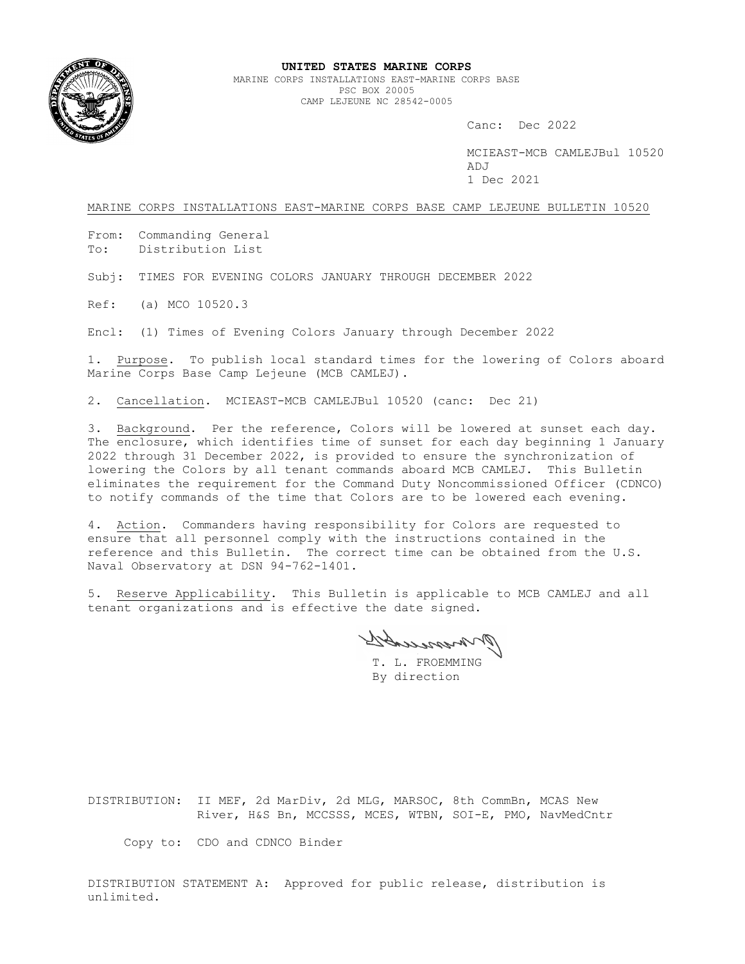

## **UNITED STATES MARINE CORPS**

MARINE CORPS INSTALLATIONS EAST-MARINE CORPS BASE PSC BOX 20005 CAMP LEJEUNE NC 28542-0005

Canc: Dec 2022

MCIEAST-MCB CAMLEJBul 10520  $\Delta$ D.T 1 Dec 2021

MARINE CORPS INSTALLATIONS EAST-MARINE CORPS BASE CAMP LEJEUNE BULLETIN 10520

From: Commanding General To: Distribution List

Subj: TIMES FOR EVENING COLORS JANUARY THROUGH DECEMBER 2022

Ref: (a) MCO 10520.3

Encl: (1) Times of Evening Colors January through December 2022

1. Purpose. To publish local standard times for the lowering of Colors aboard Marine Corps Base Camp Lejeune (MCB CAMLEJ).

2. Cancellation. MCIEAST-MCB CAMLEJBul 10520 (canc: Dec 21)

3. Background. Per the reference, Colors will be lowered at sunset each day. The enclosure, which identifies time of sunset for each day beginning 1 January 2022 through 31 December 2022, is provided to ensure the synchronization of lowering the Colors by all tenant commands aboard MCB CAMLEJ. This Bulletin eliminates the requirement for the Command Duty Noncommissioned Officer (CDNCO) to notify commands of the time that Colors are to be lowered each evening.

4. Action. Commanders having responsibility for Colors are requested to ensure that all personnel comply with the instructions contained in the reference and this Bulletin. The correct time can be obtained from the U.S. Naval Observatory at DSN 94-762-1401.

5. Reserve Applicability. This Bulletin is applicable to MCB CAMLEJ and all tenant organizations and is effective the date signed.

pressesses

T. L. FROEMMING By direction

DISTRIBUTION: II MEF, 2d MarDiv, 2d MLG, MARSOC, 8th CommBn, MCAS New River, H&S Bn, MCCSSS, MCES, WTBN, SOI-E, PMO, NavMedCntr

Copy to: CDO and CDNCO Binder

DISTRIBUTION STATEMENT A: Approved for public release, distribution is unlimited.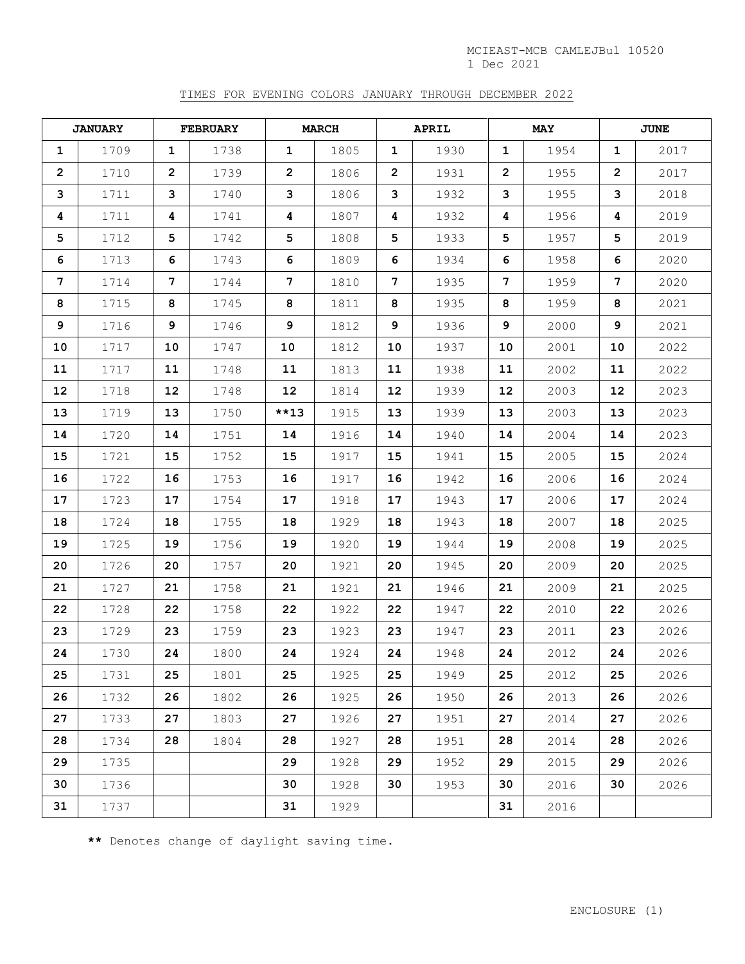## TIMES FOR EVENING COLORS JANUARY THROUGH DECEMBER 2022

| <b>JANUARY</b>  |      | <b>FEBRUARY</b> |      | <b>MARCH</b>   |      | APRIL          |      | <b>MAY</b>     |      | <b>JUNE</b>  |      |
|-----------------|------|-----------------|------|----------------|------|----------------|------|----------------|------|--------------|------|
| $\mathbf 1$     | 1709 | $\mathbf{1}$    | 1738 | $\mathbf{1}$   | 1805 | 1              | 1930 | $\mathbf 1$    | 1954 | $\mathbf{1}$ | 2017 |
| $\mathbf{2}$    | 1710 | 2               | 1739 | $\overline{2}$ | 1806 | $\overline{2}$ | 1931 | $\overline{2}$ | 1955 | 2            | 2017 |
| 3               | 1711 | 3               | 1740 | 3              | 1806 | 3              | 1932 | 3              | 1955 | 3            | 2018 |
| 4               | 1711 | 4               | 1741 | 4              | 1807 | 4              | 1932 | 4              | 1956 | 4            | 2019 |
| 5               | 1712 | 5               | 1742 | 5              | 1808 | 5              | 1933 | 5              | 1957 | 5            | 2019 |
| 6               | 1713 | 6               | 1743 | 6              | 1809 | 6              | 1934 | 6              | 1958 | 6            | 2020 |
| $7\phantom{.}$  | 1714 | 7               | 1744 | $7\phantom{.}$ | 1810 | 7              | 1935 | 7              | 1959 | 7            | 2020 |
| 8               | 1715 | 8               | 1745 | 8              | 1811 | 8              | 1935 | 8              | 1959 | 8            | 2021 |
| 9               | 1716 | 9               | 1746 | 9              | 1812 | 9              | 1936 | 9              | 2000 | 9            | 2021 |
| 10              | 1717 | 10              | 1747 | 10             | 1812 | 10             | 1937 | 10             | 2001 | 10           | 2022 |
| 11              | 1717 | 11              | 1748 | 11             | 1813 | 11             | 1938 | 11             | 2002 | 11           | 2022 |
| 12 <sup>2</sup> | 1718 | 12 <sup>2</sup> | 1748 | 12             | 1814 | 12             | 1939 | 12             | 2003 | $12 \,$      | 2023 |
| 13              | 1719 | 13              | 1750 | $***13$        | 1915 | 13             | 1939 | 13             | 2003 | 13           | 2023 |
| 14              | 1720 | 14              | 1751 | 14             | 1916 | 14             | 1940 | 14             | 2004 | 14           | 2023 |
| 15              | 1721 | 15              | 1752 | 15             | 1917 | 15             | 1941 | 15             | 2005 | 15           | 2024 |
| 16              | 1722 | 16              | 1753 | 16             | 1917 | 16             | 1942 | 16             | 2006 | 16           | 2024 |
| 17              | 1723 | 17              | 1754 | 17             | 1918 | 17             | 1943 | 17             | 2006 | 17           | 2024 |
| 18              | 1724 | 18              | 1755 | 18             | 1929 | 18             | 1943 | 18             | 2007 | 18           | 2025 |
| 19              | 1725 | 19              | 1756 | 19             | 1920 | 19             | 1944 | 19             | 2008 | 19           | 2025 |
| 20              | 1726 | 20              | 1757 | 20             | 1921 | 20             | 1945 | 20             | 2009 | 20           | 2025 |
| 21              | 1727 | 21              | 1758 | 21             | 1921 | 21             | 1946 | 21             | 2009 | 21           | 2025 |
| $22 \,$         | 1728 | $22 \,$         | 1758 | 22             | 1922 | 22             | 1947 | 22             | 2010 | 22           | 2026 |
| 23              | 1729 | 23              | 1759 | 23             | 1923 | 23             | 1947 | 23             | 2011 | 23           | 2026 |
| 24              | 1730 | 24              | 1800 | 24             | 1924 | 24             | 1948 | 24             | 2012 | 24           | 2026 |
| 25              | 1731 | 25              | 1801 | 25             | 1925 | 25             | 1949 | 25             | 2012 | 25           | 2026 |
| 26              | 1732 | 26              | 1802 | 26             | 1925 | 26             | 1950 | 26             | 2013 | 26           | 2026 |
| 27              | 1733 | 27              | 1803 | 27             | 1926 | 27             | 1951 | 27             | 2014 | 27           | 2026 |
| 28              | 1734 | 28              | 1804 | 28             | 1927 | 28             | 1951 | 28             | 2014 | 28           | 2026 |
| 29              | 1735 |                 |      | 29             | 1928 | 29             | 1952 | 29             | 2015 | 29           | 2026 |
| 30              | 1736 |                 |      | 30             | 1928 | 30             | 1953 | 30             | 2016 | 30           | 2026 |
| 31              | 1737 |                 |      | 31             | 1929 |                |      | 31             | 2016 |              |      |

**\*\*** Denotes change of daylight saving time.